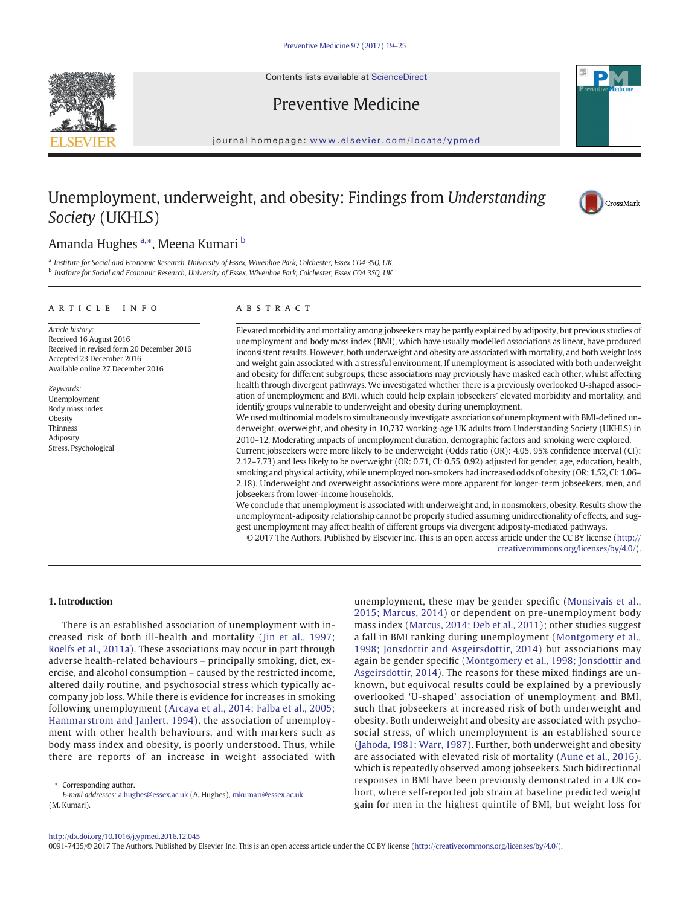Contents lists available at [ScienceDirect](http://www.sciencedirect.com/science/journal/00917435)





journal homepage: <www.elsevier.com/locate/ypmed>

# Unemployment, underweight, and obesity: Findings from Understanding Society (UKHLS)



## Amanda Hughes <sup>a,</sup>\*, Meena Kumari <sup>b</sup>

a Institute for Social and Economic Research, University of Essex, Wivenhoe Park, Colchester, Essex CO4 3SQ, UK <sup>b</sup> Institute for Social and Economic Research, University of Essex, Wivenhoe Park, Colchester, Essex CO4 3SQ, UK

#### article info abstract

Article history: Received 16 August 2016 Received in revised form 20 December 2016 Accepted 23 December 2016 Available online 27 December 2016

Keywords: Unemployment Body mass index Obesity Thinness Adiposity Stress, Psychological

Elevated morbidity and mortality among jobseekers may be partly explained by adiposity, but previous studies of unemployment and body mass index (BMI), which have usually modelled associations as linear, have produced inconsistent results. However, both underweight and obesity are associated with mortality, and both weight loss and weight gain associated with a stressful environment. If unemployment is associated with both underweight and obesity for different subgroups, these associations may previously have masked each other, whilst affecting health through divergent pathways. We investigated whether there is a previously overlooked U-shaped association of unemployment and BMI, which could help explain jobseekers' elevated morbidity and mortality, and identify groups vulnerable to underweight and obesity during unemployment.

We used multinomial models to simultaneously investigate associations of unemployment with BMI-defined underweight, overweight, and obesity in 10,737 working-age UK adults from Understanding Society (UKHLS) in 2010–12. Moderating impacts of unemployment duration, demographic factors and smoking were explored.

Current jobseekers were more likely to be underweight (Odds ratio (OR): 4.05, 95% confidence interval (CI): 2.12–7.73) and less likely to be overweight (OR: 0.71, CI: 0.55, 0.92) adjusted for gender, age, education, health, smoking and physical activity, while unemployed non-smokers had increased odds of obesity (OR: 1.52, CI: 1.06– 2.18). Underweight and overweight associations were more apparent for longer-term jobseekers, men, and jobseekers from lower-income households.

We conclude that unemployment is associated with underweight and, in nonsmokers, obesity. Results show the unemployment-adiposity relationship cannot be properly studied assuming unidirectionality of effects, and suggest unemployment may affect health of different groups via divergent adiposity-mediated pathways.

© 2017 The Authors. Published by Elsevier Inc. This is an open access article under the CC BY license ([http://](0opyright_ulicense) [creativecommons.org/licenses/by/4.0/\)](0opyright_ulicense).

#### 1. Introduction

There is an established association of unemployment with increased risk of both ill-health and mortality ([Jin et al., 1997;](#page-6-0) [Roelfs et al., 2011a\)](#page-6-0). These associations may occur in part through adverse health-related behaviours – principally smoking, diet, exercise, and alcohol consumption – caused by the restricted income, altered daily routine, and psychosocial stress which typically accompany job loss. While there is evidence for increases in smoking following unemployment ([Arcaya et al., 2014; Falba et al., 2005;](#page-5-0) [Hammarstrom and Janlert, 1994\)](#page-5-0), the association of unemployment with other health behaviours, and with markers such as body mass index and obesity, is poorly understood. Thus, while there are reports of an increase in weight associated with

unemployment, these may be gender specific [\(Monsivais et al.,](#page-6-0) [2015; Marcus, 2014\)](#page-6-0) or dependent on pre-unemployment body mass index ([Marcus, 2014; Deb et al., 2011\)](#page-6-0); other studies suggest a fall in BMI ranking during unemployment [\(Montgomery et al.,](#page-6-0) [1998; Jonsdottir and Asgeirsdottir, 2014\)](#page-6-0) but associations may again be gender specific [\(Montgomery et al., 1998; Jonsdottir and](#page-6-0) [Asgeirsdottir, 2014](#page-6-0)). The reasons for these mixed findings are unknown, but equivocal results could be explained by a previously overlooked 'U-shaped' association of unemployment and BMI, such that jobseekers at increased risk of both underweight and obesity. Both underweight and obesity are associated with psychosocial stress, of which unemployment is an established source [\(Jahoda, 1981; Warr, 1987](#page-6-0)). Further, both underweight and obesity are associated with elevated risk of mortality [\(Aune et al., 2016\)](#page-6-0), which is repeatedly observed among jobseekers. Such bidirectional responses in BMI have been previously demonstrated in a UK cohort, where self-reported job strain at baseline predicted weight gain for men in the highest quintile of BMI, but weight loss for

<http://dx.doi.org/10.1016/j.ypmed.2016.12.045>

0091-7435/© 2017 The Authors. Published by Elsevier Inc. This is an open access article under the CC BY license [\(http://creativecommons.org/licenses/by/4.0/\)](0opyright_ulicense).

Corresponding author.

E-mail addresses: a.hughes@essex.ac.uk (A. Hughes), [mkumari@essex.ac.uk](mailto:mkumari@essex.ac.uk) (M. Kumari).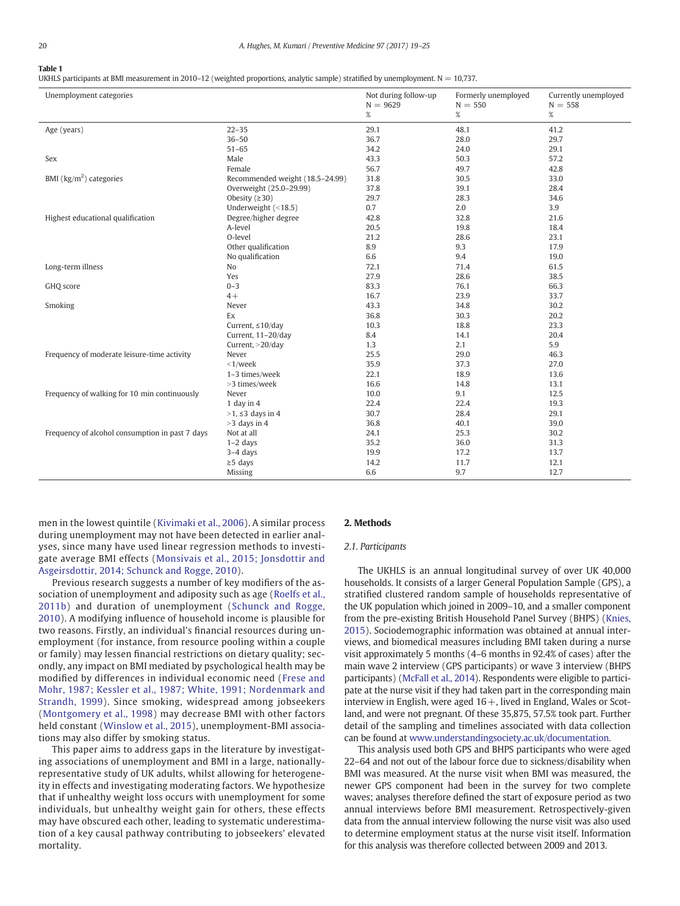#### <span id="page-1-0"></span>Table 1

UKHLS participants at BMI measurement in 2010–12 (weighted proportions, analytic sample) stratified by unemployment.  $N = 10,737$ .

| Unemployment categories                         |                                 | Not during follow-up<br>$N = 9629$ | Formerly unemployed<br>$N = 550$ | Currently unemployed<br>$N = 558$ |
|-------------------------------------------------|---------------------------------|------------------------------------|----------------------------------|-----------------------------------|
|                                                 |                                 | $\%$                               | $\%$                             | $\%$                              |
| Age (years)                                     | $22 - 35$                       | 29.1                               | 48.1                             | 41.2                              |
|                                                 | $36 - 50$                       | 36.7                               | 28.0                             | 29.7                              |
|                                                 | $51 - 65$                       | 34.2                               | 24.0                             | 29.1                              |
| Sex                                             | Male                            | 43.3                               | 50.3                             | 57.2                              |
|                                                 | Female                          | 56.7                               | 49.7                             | 42.8                              |
| BMI ( $\text{kg/m}^2$ ) categories              | Recommended weight (18.5-24.99) | 31.8                               | 30.5                             | 33.0                              |
|                                                 | Overweight (25.0-29.99)         | 37.8                               | 39.1                             | 28.4                              |
|                                                 | Obesity $(230)$                 | 29.7                               | 28.3                             | 34.6                              |
|                                                 | Underweight (<18.5)             | 0.7                                | 2.0                              | 3.9                               |
| Highest educational qualification               | Degree/higher degree            | 42.8                               | 32.8                             | 21.6                              |
|                                                 | A-level                         | 20.5                               | 19.8                             | 18.4                              |
|                                                 | O-level                         | 21.2                               | 28.6                             | 23.1                              |
|                                                 | Other qualification             | 8.9                                | 9.3                              | 17.9                              |
|                                                 | No qualification                | 6.6                                | 9.4                              | 19.0                              |
| Long-term illness                               | No                              | 72.1                               | 71.4                             | 61.5                              |
|                                                 | Yes                             | 27.9                               | 28.6                             | 38.5                              |
| GHQ score                                       | $0 - 3$                         | 83.3                               | 76.1                             | 66.3                              |
|                                                 | $4+$                            | 16.7                               | 23.9                             | 33.7                              |
| Smoking                                         | Never                           | 43.3                               | 34.8                             | 30.2                              |
|                                                 | Ex                              | 36.8                               | 30.3                             | 20.2                              |
|                                                 | Current, $\leq 10$ /day         | 10.3                               | 18.8                             | 23.3                              |
|                                                 | Current, 11-20/day              | 8.4                                | 14.1                             | 20.4                              |
|                                                 | Current, $>20$ /day             | 1.3                                | 2.1                              | 5.9                               |
| Frequency of moderate leisure-time activity     | Never                           | 25.5                               | 29.0                             | 46.3                              |
|                                                 | $<$ 1/week                      | 35.9                               | 37.3                             | 27.0                              |
|                                                 | 1-3 times/week                  | 22.1                               | 18.9                             | 13.6                              |
|                                                 | >3 times/week                   | 16.6                               | 14.8                             | 13.1                              |
| Frequency of walking for 10 min continuously    | Never                           | 10.0                               | 9.1                              | 12.5                              |
|                                                 | 1 day in $4$                    | 22.4                               | 22.4                             | 19.3                              |
|                                                 | $>1, \leq 3$ days in 4          | 30.7                               | 28.4                             | 29.1                              |
|                                                 | $>3$ days in 4                  | 36.8                               | 40.1                             | 39.0                              |
| Frequency of alcohol consumption in past 7 days | Not at all                      | 24.1                               | 25.3                             | 30.2                              |
|                                                 | $1-2$ days                      | 35.2                               | 36.0                             | 31.3                              |
|                                                 | $3-4$ days                      | 19.9                               | 17.2                             | 13.7                              |
|                                                 | $\geq$ 5 days                   | 14.2                               | 11.7                             | 12.1                              |
|                                                 | Missing                         | 6.6                                | 9.7                              | 12.7                              |

men in the lowest quintile ([Kivimaki et al., 2006\)](#page-6-0). A similar process during unemployment may not have been detected in earlier analyses, since many have used linear regression methods to investigate average BMI effects ([Monsivais et al., 2015; Jonsdottir and](#page-6-0) [Asgeirsdottir, 2014; Schunck and Rogge, 2010\)](#page-6-0).

Previous research suggests a number of key modifiers of the association of unemployment and adiposity such as age ([Roelfs et al.,](#page-6-0) [2011b](#page-6-0)) and duration of unemployment ([Schunck and Rogge,](#page-6-0) [2010\)](#page-6-0). A modifying influence of household income is plausible for two reasons. Firstly, an individual's financial resources during unemployment (for instance, from resource pooling within a couple or family) may lessen financial restrictions on dietary quality; secondly, any impact on BMI mediated by psychological health may be modified by differences in individual economic need [\(Frese and](#page-6-0) [Mohr, 1987; Kessler et al., 1987; White, 1991; Nordenmark and](#page-6-0) [Strandh, 1999](#page-6-0)). Since smoking, widespread among jobseekers ([Montgomery et al., 1998](#page-6-0)) may decrease BMI with other factors held constant ([Winslow et al., 2015](#page-6-0)), unemployment-BMI associations may also differ by smoking status.

This paper aims to address gaps in the literature by investigating associations of unemployment and BMI in a large, nationallyrepresentative study of UK adults, whilst allowing for heterogeneity in effects and investigating moderating factors. We hypothesize that if unhealthy weight loss occurs with unemployment for some individuals, but unhealthy weight gain for others, these effects may have obscured each other, leading to systematic underestimation of a key causal pathway contributing to jobseekers' elevated mortality.

### 2. Methods

### 2.1. Participants

The UKHLS is an annual longitudinal survey of over UK 40,000 households. It consists of a larger General Population Sample (GPS), a stratified clustered random sample of households representative of the UK population which joined in 2009–10, and a smaller component from the pre-existing British Household Panel Survey (BHPS) ([Knies,](#page-6-0) [2015](#page-6-0)). Sociodemographic information was obtained at annual interviews, and biomedical measures including BMI taken during a nurse visit approximately 5 months (4–6 months in 92.4% of cases) after the main wave 2 interview (GPS participants) or wave 3 interview (BHPS participants) ([McFall et al., 2014\)](#page-6-0). Respondents were eligible to participate at the nurse visit if they had taken part in the corresponding main interview in English, were aged  $16+$ , lived in England, Wales or Scotland, and were not pregnant. Of these 35,875, 57.5% took part. Further detail of the sampling and timelines associated with data collection can be found at [www.understandingsociety.ac.uk/documentation](http://www.understandingsociety.ac.uk/documentation).

This analysis used both GPS and BHPS participants who were aged 22–64 and not out of the labour force due to sickness/disability when BMI was measured. At the nurse visit when BMI was measured, the newer GPS component had been in the survey for two complete waves; analyses therefore defined the start of exposure period as two annual interviews before BMI measurement. Retrospectively-given data from the annual interview following the nurse visit was also used to determine employment status at the nurse visit itself. Information for this analysis was therefore collected between 2009 and 2013.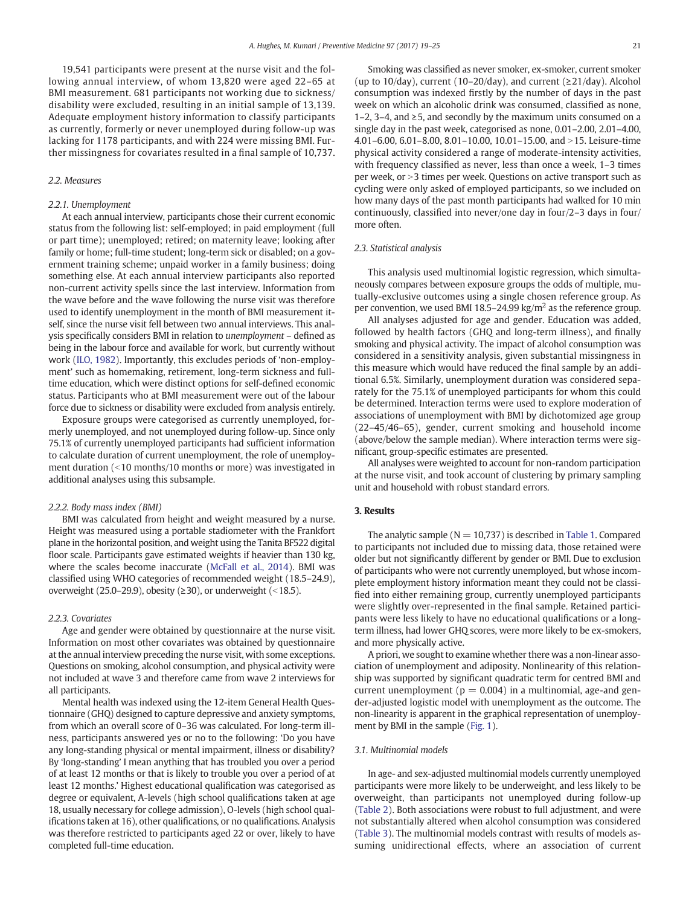19,541 participants were present at the nurse visit and the following annual interview, of whom 13,820 were aged 22–65 at BMI measurement. 681 participants not working due to sickness/ disability were excluded, resulting in an initial sample of 13,139. Adequate employment history information to classify participants as currently, formerly or never unemployed during follow-up was lacking for 1178 participants, and with 224 were missing BMI. Further missingness for covariates resulted in a final sample of 10,737.

#### 2.2. Measures

#### 2.2.1. Unemployment

At each annual interview, participants chose their current economic status from the following list: self-employed; in paid employment (full or part time); unemployed; retired; on maternity leave; looking after family or home; full-time student; long-term sick or disabled; on a government training scheme; unpaid worker in a family business; doing something else. At each annual interview participants also reported non-current activity spells since the last interview. Information from the wave before and the wave following the nurse visit was therefore used to identify unemployment in the month of BMI measurement itself, since the nurse visit fell between two annual interviews. This analysis specifically considers BMI in relation to unemployment – defined as being in the labour force and available for work, but currently without work [\(ILO, 1982](#page-6-0)). Importantly, this excludes periods of 'non-employment' such as homemaking, retirement, long-term sickness and fulltime education, which were distinct options for self-defined economic status. Participants who at BMI measurement were out of the labour force due to sickness or disability were excluded from analysis entirely.

Exposure groups were categorised as currently unemployed, formerly unemployed, and not unemployed during follow-up. Since only 75.1% of currently unemployed participants had sufficient information to calculate duration of current unemployment, the role of unemployment duration  $($  < 10 months/10 months or more) was investigated in additional analyses using this subsample.

#### 2.2.2. Body mass index (BMI)

BMI was calculated from height and weight measured by a nurse. Height was measured using a portable stadiometer with the Frankfort plane in the horizontal position, and weight using the Tanita BF522 digital floor scale. Participants gave estimated weights if heavier than 130 kg, where the scales become inaccurate [\(McFall et al., 2014\)](#page-6-0). BMI was classified using WHO categories of recommended weight (18.5–24.9), overweight (25.0–29.9), obesity ( $\geq$ 30), or underweight (<18.5).

#### 2.2.3. Covariates

Age and gender were obtained by questionnaire at the nurse visit. Information on most other covariates was obtained by questionnaire at the annual interview preceding the nurse visit, with some exceptions. Questions on smoking, alcohol consumption, and physical activity were not included at wave 3 and therefore came from wave 2 interviews for all participants.

Mental health was indexed using the 12-item General Health Questionnaire (GHQ) designed to capture depressive and anxiety symptoms, from which an overall score of 0–36 was calculated. For long-term illness, participants answered yes or no to the following: 'Do you have any long-standing physical or mental impairment, illness or disability? By 'long-standing' I mean anything that has troubled you over a period of at least 12 months or that is likely to trouble you over a period of at least 12 months.' Highest educational qualification was categorised as degree or equivalent, A-levels (high school qualifications taken at age 18, usually necessary for college admission), O-levels (high school qualifications taken at 16), other qualifications, or no qualifications. Analysis was therefore restricted to participants aged 22 or over, likely to have completed full-time education.

Smoking was classified as never smoker, ex-smoker, current smoker (up to 10/day), current (10–20/day), and current ( $\geq$ 21/day). Alcohol consumption was indexed firstly by the number of days in the past week on which an alcoholic drink was consumed, classified as none, 1–2, 3–4, and ≥5, and secondly by the maximum units consumed on a single day in the past week, categorised as none, 0.01–2.00, 2.01–4.00, 4.01-6.00, 6.01-8.00, 8.01-10.00, 10.01-15.00, and >15. Leisure-time physical activity considered a range of moderate-intensity activities, with frequency classified as never, less than once a week, 1–3 times per week, or > 3 times per week. Questions on active transport such as cycling were only asked of employed participants, so we included on how many days of the past month participants had walked for 10 min continuously, classified into never/one day in four/2–3 days in four/ more often.

#### 2.3. Statistical analysis

This analysis used multinomial logistic regression, which simultaneously compares between exposure groups the odds of multiple, mutually-exclusive outcomes using a single chosen reference group. As per convention, we used BMI 18.5–24.99 kg/m<sup>2</sup> as the reference group.

All analyses adjusted for age and gender. Education was added, followed by health factors (GHQ and long-term illness), and finally smoking and physical activity. The impact of alcohol consumption was considered in a sensitivity analysis, given substantial missingness in this measure which would have reduced the final sample by an additional 6.5%. Similarly, unemployment duration was considered separately for the 75.1% of unemployed participants for whom this could be determined. Interaction terms were used to explore moderation of associations of unemployment with BMI by dichotomized age group (22–45/46–65), gender, current smoking and household income (above/below the sample median). Where interaction terms were significant, group-specific estimates are presented.

All analyses were weighted to account for non-random participation at the nurse visit, and took account of clustering by primary sampling unit and household with robust standard errors.

### 3. Results

The analytic sample ( $N = 10,737$ ) is described in [Table 1](#page-1-0). Compared to participants not included due to missing data, those retained were older but not significantly different by gender or BMI. Due to exclusion of participants who were not currently unemployed, but whose incomplete employment history information meant they could not be classified into either remaining group, currently unemployed participants were slightly over-represented in the final sample. Retained participants were less likely to have no educational qualifications or a longterm illness, had lower GHQ scores, were more likely to be ex-smokers, and more physically active.

A priori, we sought to examine whether there was a non-linear association of unemployment and adiposity. Nonlinearity of this relationship was supported by significant quadratic term for centred BMI and current unemployment ( $p = 0.004$ ) in a multinomial, age-and gender-adjusted logistic model with unemployment as the outcome. The non-linearity is apparent in the graphical representation of unemployment by BMI in the sample [\(Fig. 1\)](#page-3-0).

#### 3.1. Multinomial models

In age- and sex-adjusted multinomial models currently unemployed participants were more likely to be underweight, and less likely to be overweight, than participants not unemployed during follow-up [\(Table 2](#page-3-0)). Both associations were robust to full adjustment, and were not substantially altered when alcohol consumption was considered [\(Table 3\)](#page-3-0). The multinomial models contrast with results of models assuming unidirectional effects, where an association of current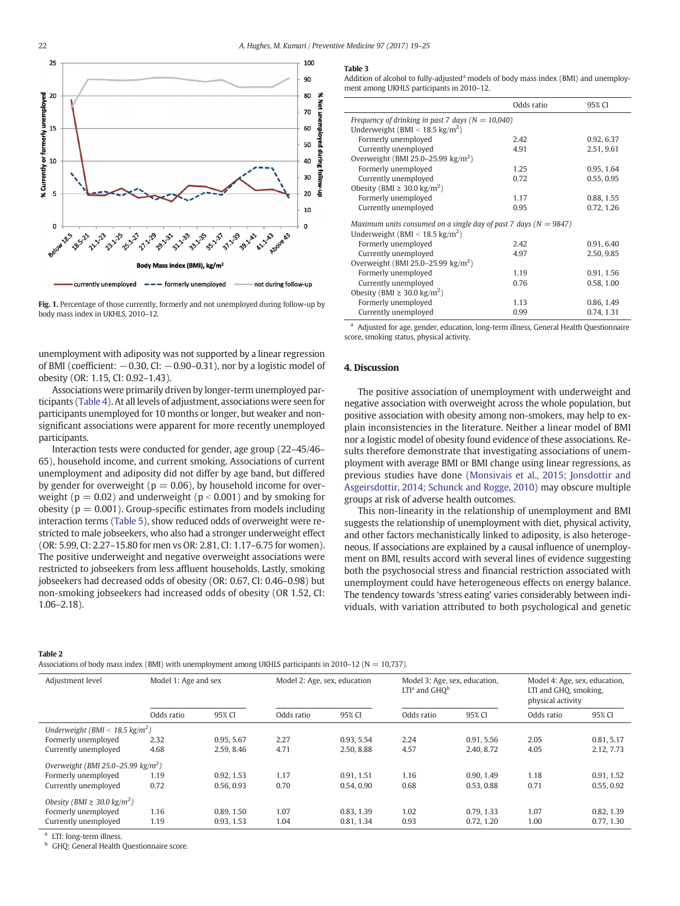<span id="page-3-0"></span>



unemployment with adiposity was not supported by a linear regression of BMI (coefficient:  $-0.30$ , CI:  $-0.90-0.31$ ), nor by a logistic model of obesity (OR: 1.15, CI: 0.92–1.43).

Associations were primarily driven by longer-term unemployed participants [\(Table 4\)](#page-4-0). At all levels of adjustment, associations were seen for participants unemployed for 10 months or longer, but weaker and nonsignificant associations were apparent for more recently unemployed participants.

Interaction tests were conducted for gender, age group (22–45/46– 65), household income, and current smoking. Associations of current unemployment and adiposity did not differ by age band, but differed by gender for overweight ( $p = 0.06$ ), by household income for overweight ( $p = 0.02$ ) and underweight ( $p < 0.001$ ) and by smoking for obesity ( $p = 0.001$ ). Group-specific estimates from models including interaction terms [\(Table 5\)](#page-4-0), show reduced odds of overweight were restricted to male jobseekers, who also had a stronger underweight effect (OR: 5.99, CI: 2.27–15.80 for men vs OR: 2.81, CI: 1.17–6.75 for women). The positive underweight and negative overweight associations were restricted to jobseekers from less affluent households. Lastly, smoking jobseekers had decreased odds of obesity (OR: 0.67, CI: 0.46–0.98) but non-smoking jobseekers had increased odds of obesity (OR 1.52, CI: 1.06–2.18).

#### Table 3

Addition of alcohol to fully-adjusted<sup>a</sup> models of body mass index (BMI) and unemployment among UKHLS participants in 2010–12.

|                                                                      | Odds ratio | 95% CI     |  |  |  |  |  |  |
|----------------------------------------------------------------------|------------|------------|--|--|--|--|--|--|
| Frequency of drinking in past 7 days ( $N = 10,040$ )                |            |            |  |  |  |  |  |  |
| Underweight (BMI < $18.5 \text{ kg/m}^2$ )                           |            |            |  |  |  |  |  |  |
| Formerly unemployed                                                  | 2.42       | 0.92, 6.37 |  |  |  |  |  |  |
| Currently unemployed                                                 | 4.91       | 2.51, 9.61 |  |  |  |  |  |  |
| Overweight (BMI 25.0–25.99 $\text{kg/m}^2$ )                         |            |            |  |  |  |  |  |  |
| Formerly unemployed                                                  | 1.25       | 0.95, 1.64 |  |  |  |  |  |  |
| Currently unemployed                                                 | 0.72       | 0.55, 0.95 |  |  |  |  |  |  |
| Obesity (BMI $\geq$ 30.0 kg/m <sup>2</sup> )                         |            |            |  |  |  |  |  |  |
| Formerly unemployed                                                  | 1.17       | 0.88, 1.55 |  |  |  |  |  |  |
| Currently unemployed                                                 | 0.95       | 0.72, 1.26 |  |  |  |  |  |  |
| Maximum units consumed on a single day of past 7 days ( $N = 9847$ ) |            |            |  |  |  |  |  |  |
| Underweight (BMI < $18.5 \text{ kg/m}^2$ )                           |            |            |  |  |  |  |  |  |
| Formerly unemployed                                                  | 2.42       | 0.91, 6.40 |  |  |  |  |  |  |
| Currently unemployed                                                 | 4.97       | 2.50, 9.85 |  |  |  |  |  |  |
| Overweight (BMI 25.0–25.99 $\text{kg/m}^2$ )                         |            |            |  |  |  |  |  |  |
| Formerly unemployed                                                  | 1.19       | 0.91, 1.56 |  |  |  |  |  |  |
| Currently unemployed                                                 | 0.76       | 0.58, 1.00 |  |  |  |  |  |  |
| Obesity (BMI $\geq$ 30.0 kg/m <sup>2</sup> )                         |            |            |  |  |  |  |  |  |
| Formerly unemployed                                                  | 1.13       | 0.86, 1.49 |  |  |  |  |  |  |
| Currently unemployed                                                 | 0.99       | 0.74, 1.31 |  |  |  |  |  |  |

<sup>a</sup> Adjusted for age, gender, education, long-term illness, General Health Questionnaire score, smoking status, physical activity.

#### 4. Discussion

The positive association of unemployment with underweight and negative association with overweight across the whole population, but positive association with obesity among non-smokers, may help to explain inconsistencies in the literature. Neither a linear model of BMI nor a logistic model of obesity found evidence of these associations. Results therefore demonstrate that investigating associations of unemployment with average BMI or BMI change using linear regressions, as previous studies have done ([Monsivais et al., 2015; Jonsdottir and](#page-6-0) [Asgeirsdottir, 2014; Schunck and Rogge, 2010](#page-6-0)) may obscure multiple groups at risk of adverse health outcomes.

This non-linearity in the relationship of unemployment and BMI suggests the relationship of unemployment with diet, physical activity, and other factors mechanistically linked to adiposity, is also heterogeneous. If associations are explained by a causal influence of unemployment on BMI, results accord with several lines of evidence suggesting both the psychosocial stress and financial restriction associated with unemployment could have heterogeneous effects on energy balance. The tendency towards 'stress eating' varies considerably between individuals, with variation attributed to both psychological and genetic

#### Table 2

Associations of body mass index (BMI) with unemployment among UKHLS participants in 2010–12 ( $N = 10,737$ ).

| Adjustment level                             | Model 1: Age and sex |            | Model 2: Age, sex, education |            | Model 3: Age, sex, education,<br>$LTIa$ and $GHOb$ |            | Model 4: Age, sex, education,<br>LTI and GHQ, smoking,<br>physical activity |            |
|----------------------------------------------|----------------------|------------|------------------------------|------------|----------------------------------------------------|------------|-----------------------------------------------------------------------------|------------|
|                                              | Odds ratio           | 95% CI     | Odds ratio                   | 95% CI     | Odds ratio                                         | 95% CI     | Odds ratio                                                                  | 95% CI     |
| Underweight (BMI < 18.5 kg/m <sup>2</sup> )  |                      |            |                              |            |                                                    |            |                                                                             |            |
| Formerly unemployed                          | 2.32                 | 0.95, 5.67 | 2.27                         | 0.93, 5.54 | 2.24                                               | 0.91, 5.56 | 2.05                                                                        | 0.81, 5.17 |
| Currently unemployed                         | 4.68                 | 2.59, 8.46 | 4.71                         | 2.50, 8.88 | 4.57                                               | 2.40, 8.72 | 4.05                                                                        | 2.12.7.73  |
| Overweight (BMI 25.0-25.99 $kg/m2$ )         |                      |            |                              |            |                                                    |            |                                                                             |            |
| Formerly unemployed                          | 1.19                 | 0.92, 1.53 | 1.17                         | 0.91, 1.51 | 1.16                                               | 0.90, 1.49 | 1.18                                                                        | 0.91, 1.52 |
| Currently unemployed                         | 0.72                 | 0.56, 0.93 | 0.70                         | 0.54, 0.90 | 0.68                                               | 0.53, 0.88 | 0.71                                                                        | 0.55, 0.92 |
| Obesity (BMI $\geq$ 30.0 kg/m <sup>2</sup> ) |                      |            |                              |            |                                                    |            |                                                                             |            |
| Formerly unemployed                          | 1.16                 | 0.89, 1.50 | 1.07                         | 0.83, 1.39 | 1.02                                               | 0.79.1.33  | 1.07                                                                        | 0.82, 1.39 |
| Currently unemployed                         | 1.19                 | 0.93, 1.53 | 1.04                         | 0.81, 1.34 | 0.93                                               | 0.72, 1.20 | 1.00                                                                        | 0.77, 1.30 |

<sup>a</sup> LTI: long-term illness.

<sup>b</sup> GHQ: General Health Questionnaire score.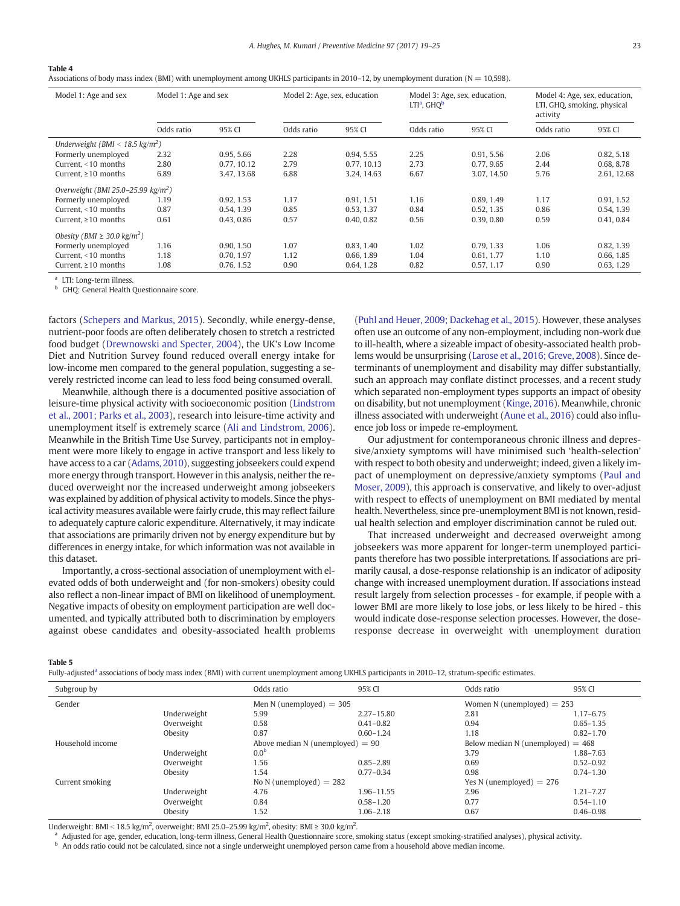<span id="page-4-0"></span>

|--|

Associations of body mass index (BMI) with unemployment among UKHLS participants in 2010–12, by unemployment duration (N = 10,598).

| Model 1: Age and sex                         |            | Model 1: Age and sex<br>Model 2: Age, sex, education |            | Model 3: Age, sex, education,<br>$LTIa$ , $GHOb$ |            | Model 4: Age, sex, education,<br>LTI, GHQ, smoking, physical<br>activity |            |             |
|----------------------------------------------|------------|------------------------------------------------------|------------|--------------------------------------------------|------------|--------------------------------------------------------------------------|------------|-------------|
|                                              | Odds ratio | 95% CI                                               | Odds ratio | 95% CI                                           | Odds ratio | 95% CI                                                                   | Odds ratio | 95% CI      |
| Underweight (BMI < 18.5 kg/m <sup>2</sup> )  |            |                                                      |            |                                                  |            |                                                                          |            |             |
| Formerly unemployed                          | 2.32       | 0.95, 5.66                                           | 2.28       | 0.94, 5.55                                       | 2.25       | 0.91, 5.56                                                               | 2.06       | 0.82, 5.18  |
| Current, $<$ 10 months                       | 2.80       | 0.77, 10.12                                          | 2.79       | 0.77, 10.13                                      | 2.73       | 0.77, 9.65                                                               | 2.44       | 0.68, 8.78  |
| Current, $\geq 10$ months                    | 6.89       | 3.47, 13.68                                          | 6.88       | 3.24, 14.63                                      | 6.67       | 3.07, 14.50                                                              | 5.76       | 2.61, 12.68 |
| Overweight (BMI 25.0-25.99 $kg/m2$ )         |            |                                                      |            |                                                  |            |                                                                          |            |             |
| Formerly unemployed                          | 1.19       | 0.92, 1.53                                           | 1.17       | 0.91, 1.51                                       | 1.16       | 0.89, 1.49                                                               | 1.17       | 0.91, 1.52  |
| Current, $<$ 10 months                       | 0.87       | 0.54, 1.39                                           | 0.85       | 0.53, 1.37                                       | 0.84       | 0.52, 1.35                                                               | 0.86       | 0.54, 1.39  |
| Current, $\geq 10$ months                    | 0.61       | 0.43, 0.86                                           | 0.57       | 0.40, 0.82                                       | 0.56       | 0.39, 0.80                                                               | 0.59       | 0.41, 0.84  |
| Obesity (BMI $\geq$ 30.0 kg/m <sup>2</sup> ) |            |                                                      |            |                                                  |            |                                                                          |            |             |
| Formerly unemployed                          | 1.16       | 0.90, 1.50                                           | 1.07       | 0.83, 1.40                                       | 1.02       | 0.79, 1.33                                                               | 1.06       | 0.82, 1.39  |
| Current, $<$ 10 months                       | 1.18       | 0.70, 1.97                                           | 1.12       | 0.66, 1.89                                       | 1.04       | 0.61, 1.77                                                               | 1.10       | 0.66, 1.85  |
| Current, $\geq 10$ months                    | 1.08       | 0.76, 1.52                                           | 0.90       | 0.64, 1.28                                       | 0.82       | 0.57, 1.17                                                               | 0.90       | 0.63, 1.29  |

<sup>a</sup> LTI: Long-term illness.

GHQ: General Health Questionnaire score.

factors [\(Schepers and Markus, 2015](#page-6-0)). Secondly, while energy-dense, nutrient-poor foods are often deliberately chosen to stretch a restricted food budget ([Drewnowski and Specter, 2004](#page-6-0)), the UK's Low Income Diet and Nutrition Survey found reduced overall energy intake for low-income men compared to the general population, suggesting a severely restricted income can lead to less food being consumed overall.

Meanwhile, although there is a documented positive association of leisure-time physical activity with socioeconomic position ([Lindstrom](#page-6-0) [et al., 2001; Parks et al., 2003](#page-6-0)), research into leisure-time activity and unemployment itself is extremely scarce [\(Ali and Lindstrom, 2006](#page-5-0)). Meanwhile in the British Time Use Survey, participants not in employment were more likely to engage in active transport and less likely to have access to a car [\(Adams, 2010\)](#page-5-0), suggesting jobseekers could expend more energy through transport. However in this analysis, neither the reduced overweight nor the increased underweight among jobseekers was explained by addition of physical activity to models. Since the physical activity measures available were fairly crude, this may reflect failure to adequately capture caloric expenditure. Alternatively, it may indicate that associations are primarily driven not by energy expenditure but by differences in energy intake, for which information was not available in this dataset.

Importantly, a cross-sectional association of unemployment with elevated odds of both underweight and (for non-smokers) obesity could also reflect a non-linear impact of BMI on likelihood of unemployment. Negative impacts of obesity on employment participation are well documented, and typically attributed both to discrimination by employers against obese candidates and obesity-associated health problems [\(Puhl and Heuer, 2009; Dackehag et al., 2015](#page-6-0)). However, these analyses often use an outcome of any non-employment, including non-work due to ill-health, where a sizeable impact of obesity-associated health problems would be unsurprising ([Larose et al., 2016; Greve, 2008](#page-6-0)). Since determinants of unemployment and disability may differ substantially, such an approach may conflate distinct processes, and a recent study which separated non-employment types supports an impact of obesity on disability, but not unemployment ([Kinge, 2016](#page-6-0)). Meanwhile, chronic illness associated with underweight ([Aune et al., 2016\)](#page-6-0) could also influence job loss or impede re-employment.

Our adjustment for contemporaneous chronic illness and depressive/anxiety symptoms will have minimised such 'health-selection' with respect to both obesity and underweight; indeed, given a likely impact of unemployment on depressive/anxiety symptoms ([Paul and](#page-6-0) [Moser, 2009](#page-6-0)), this approach is conservative, and likely to over-adjust with respect to effects of unemployment on BMI mediated by mental health. Nevertheless, since pre-unemployment BMI is not known, residual health selection and employer discrimination cannot be ruled out.

That increased underweight and decreased overweight among jobseekers was more apparent for longer-term unemployed participants therefore has two possible interpretations. If associations are primarily causal, a dose-response relationship is an indicator of adiposity change with increased unemployment duration. If associations instead result largely from selection processes - for example, if people with a lower BMI are more likely to lose jobs, or less likely to be hired - this would indicate dose-response selection processes. However, the doseresponse decrease in overweight with unemployment duration

Table 5

Fully-adjusted<sup>a</sup> associations of body mass index (BMI) with current unemployment among UKHLS participants in 2010-12, stratum-specific estimates.

| Subgroup by      |             | Odds ratio                         | 95% CI         | Odds ratio                          | 95% CI        |
|------------------|-------------|------------------------------------|----------------|-------------------------------------|---------------|
| Gender           |             | Men N (unemployed) $=$ 305         |                | Women N (unemployed) $= 253$        |               |
|                  | Underweight | 5.99                               | $2.27 - 15.80$ | 2.81                                | $1.17 - 6.75$ |
|                  | Overweight  | 0.58                               | $0.41 - 0.82$  | 0.94                                | $0.65 - 1.35$ |
|                  | Obesity     | 0.87                               | $0.60 - 1.24$  | 1.18                                | $0.82 - 1.70$ |
| Household income |             | Above median N (unemployed) $= 90$ |                | Below median N (unemployed) $= 468$ |               |
|                  | Underweight | 0.0 <sup>b</sup>                   |                | 3.79                                | 1.88-7.63     |
|                  | Overweight  | 1.56                               | $0.85 - 2.89$  | 0.69                                | $0.52 - 0.92$ |
|                  | Obesity     | 1.54                               | $0.77 - 0.34$  | 0.98                                | $0.74 - 1.30$ |
| Current smoking  |             | No N (unemployed) $= 282$          |                | Yes N (unemployed) $= 276$          |               |
|                  | Underweight | 4.76                               | 1.96-11.55     | 2.96                                | $1.21 - 7.27$ |
|                  | Overweight  | 0.84                               | $0.58 - 1.20$  | 0.77                                | $0.54 - 1.10$ |
|                  | Obesity     | 1.52                               | $1.06 - 2.18$  | 0.67                                | $0.46 - 0.98$ |

Underweight: BMI < 18.5 kg/m<sup>2</sup>, overweight: BMI 25.0–25.99 kg/m<sup>2</sup>, obesity: BMI ≥ 30.0 kg/m<sup>2</sup>.

<sup>a</sup> Adjusted for age, gender, education, long-term illness, General Health Questionnaire score, smoking status (except smoking-stratified analyses), physical activity.

**b** An odds ratio could not be calculated, since not a single underweight unemployed person came from a household above median income.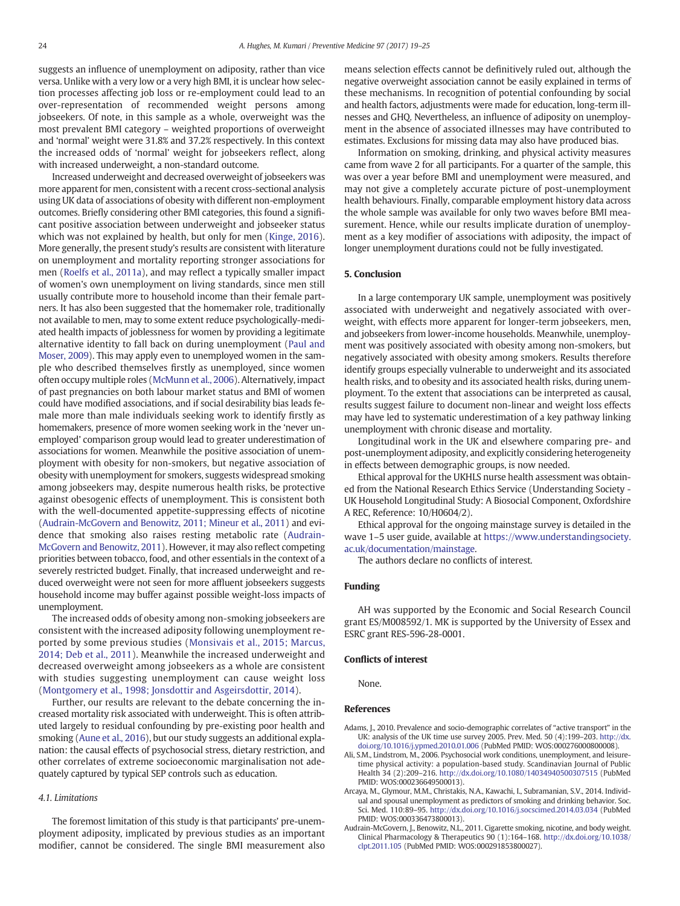<span id="page-5-0"></span>suggests an influence of unemployment on adiposity, rather than vice versa. Unlike with a very low or a very high BMI, it is unclear how selection processes affecting job loss or re-employment could lead to an over-representation of recommended weight persons among jobseekers. Of note, in this sample as a whole, overweight was the most prevalent BMI category – weighted proportions of overweight and 'normal' weight were 31.8% and 37.2% respectively. In this context the increased odds of 'normal' weight for jobseekers reflect, along with increased underweight, a non-standard outcome.

Increased underweight and decreased overweight of jobseekers was more apparent for men, consistent with a recent cross-sectional analysis using UK data of associations of obesity with different non-employment outcomes. Briefly considering other BMI categories, this found a significant positive association between underweight and jobseeker status which was not explained by health, but only for men ([Kinge, 2016](#page-6-0)). More generally, the present study's results are consistent with literature on unemployment and mortality reporting stronger associations for men ([Roelfs et al., 2011a](#page-6-0)), and may reflect a typically smaller impact of women's own unemployment on living standards, since men still usually contribute more to household income than their female partners. It has also been suggested that the homemaker role, traditionally not available to men, may to some extent reduce psychologically-mediated health impacts of joblessness for women by providing a legitimate alternative identity to fall back on during unemployment ([Paul and](#page-6-0) [Moser, 2009](#page-6-0)). This may apply even to unemployed women in the sample who described themselves firstly as unemployed, since women often occupy multiple roles ([McMunn et al., 2006\)](#page-6-0). Alternatively, impact of past pregnancies on both labour market status and BMI of women could have modified associations, and if social desirability bias leads female more than male individuals seeking work to identify firstly as homemakers, presence of more women seeking work in the 'never unemployed' comparison group would lead to greater underestimation of associations for women. Meanwhile the positive association of unemployment with obesity for non-smokers, but negative association of obesity with unemployment for smokers, suggests widespread smoking among jobseekers may, despite numerous health risks, be protective against obesogenic effects of unemployment. This is consistent both with the well-documented appetite-suppressing effects of nicotine (Audrain-McGovern and Benowitz, 2011; Mineur et al., 2011) and evidence that smoking also raises resting metabolic rate (Audrain-McGovern and Benowitz, 2011). However, it may also reflect competing priorities between tobacco, food, and other essentials in the context of a severely restricted budget. Finally, that increased underweight and reduced overweight were not seen for more affluent jobseekers suggests household income may buffer against possible weight-loss impacts of unemployment.

The increased odds of obesity among non-smoking jobseekers are consistent with the increased adiposity following unemployment reported by some previous studies ([Monsivais et al., 2015; Marcus,](#page-6-0) [2014; Deb et al., 2011\)](#page-6-0). Meanwhile the increased underweight and decreased overweight among jobseekers as a whole are consistent with studies suggesting unemployment can cause weight loss [\(Montgomery et al., 1998; Jonsdottir and Asgeirsdottir, 2014](#page-6-0)).

Further, our results are relevant to the debate concerning the increased mortality risk associated with underweight. This is often attributed largely to residual confounding by pre-existing poor health and smoking [\(Aune et al., 2016](#page-6-0)), but our study suggests an additional explanation: the causal effects of psychosocial stress, dietary restriction, and other correlates of extreme socioeconomic marginalisation not adequately captured by typical SEP controls such as education.

#### 4.1. Limitations

The foremost limitation of this study is that participants' pre-unemployment adiposity, implicated by previous studies as an important modifier, cannot be considered. The single BMI measurement also means selection effects cannot be definitively ruled out, although the negative overweight association cannot be easily explained in terms of these mechanisms. In recognition of potential confounding by social and health factors, adjustments were made for education, long-term illnesses and GHQ. Nevertheless, an influence of adiposity on unemployment in the absence of associated illnesses may have contributed to estimates. Exclusions for missing data may also have produced bias.

Information on smoking, drinking, and physical activity measures came from wave 2 for all participants. For a quarter of the sample, this was over a year before BMI and unemployment were measured, and may not give a completely accurate picture of post-unemployment health behaviours. Finally, comparable employment history data across the whole sample was available for only two waves before BMI measurement. Hence, while our results implicate duration of unemployment as a key modifier of associations with adiposity, the impact of longer unemployment durations could not be fully investigated.

#### 5. Conclusion

In a large contemporary UK sample, unemployment was positively associated with underweight and negatively associated with overweight, with effects more apparent for longer-term jobseekers, men, and jobseekers from lower-income households. Meanwhile, unemployment was positively associated with obesity among non-smokers, but negatively associated with obesity among smokers. Results therefore identify groups especially vulnerable to underweight and its associated health risks, and to obesity and its associated health risks, during unemployment. To the extent that associations can be interpreted as causal, results suggest failure to document non-linear and weight loss effects may have led to systematic underestimation of a key pathway linking unemployment with chronic disease and mortality.

Longitudinal work in the UK and elsewhere comparing pre- and post-unemployment adiposity, and explicitly considering heterogeneity in effects between demographic groups, is now needed.

Ethical approval for the UKHLS nurse health assessment was obtained from the National Research Ethics Service (Understanding Society - UK Household Longitudinal Study: A Biosocial Component, Oxfordshire A REC, Reference: 10/H0604/2).

Ethical approval for the ongoing mainstage survey is detailed in the wave 1–5 user guide, available at [https://www.understandingsociety.](https://www.understandingsociety.ac.uk/documentation/mainstage) [ac.uk/documentation/mainstage.](https://www.understandingsociety.ac.uk/documentation/mainstage)

The authors declare no conflicts of interest.

#### Funding

AH was supported by the Economic and Social Research Council grant ES/M008592/1. MK is supported by the University of Essex and ESRC grant RES-596-28-0001.

#### Conflicts of interest

None.

#### References

- Adams, J., 2010. Prevalence and socio-demographic correlates of "active transport" in the UK: analysis of the UK time use survey 2005. Prev. Med. 50 (4):199–203. http://dx. doi.org/[10.1016/j.ypmed.2010.01.006](http://dx.doi.org/10.1016/j.ypmed.2010.01.006) (PubMed PMID: WOS:000276000800008).
- Ali, S.M., Lindstrom, M., 2006. Psychosocial work conditions, unemployment, and leisuretime physical activity: a population-based study. Scandinavian Journal of Public Health 34 (2):209–216. http://dx.doi.org/[10.1080/14034940500307515](http://dx.doi.org/10.1080/14034940500307515) (PubMed PMID: WOS:000236649500013).
- Arcaya, M., Glymour, M.M., Christakis, N.A., Kawachi, I., Subramanian, S.V., 2014. Individual and spousal unemployment as predictors of smoking and drinking behavior. Soc. Sci. Med. 110:89–95. http://dx.doi.org[/10.1016/j.socscimed.2014.03.034](http://dx.doi.org/10.1016/j.socscimed.2014.03.034) (PubMed PMID: WOS:000336473800013).
- Audrain-McGovern, J., Benowitz, N.L., 2011. Cigarette smoking, nicotine, and body weight. Clinical Pharmacology & Therapeutics 90 (1):164–168. http://dx.doi.org/[10.1038/](http://dx.doi.org/10.1038/clpt.2011.105) [clpt.2011.105](http://dx.doi.org/10.1038/clpt.2011.105) (PubMed PMID: WOS:000291853800027).